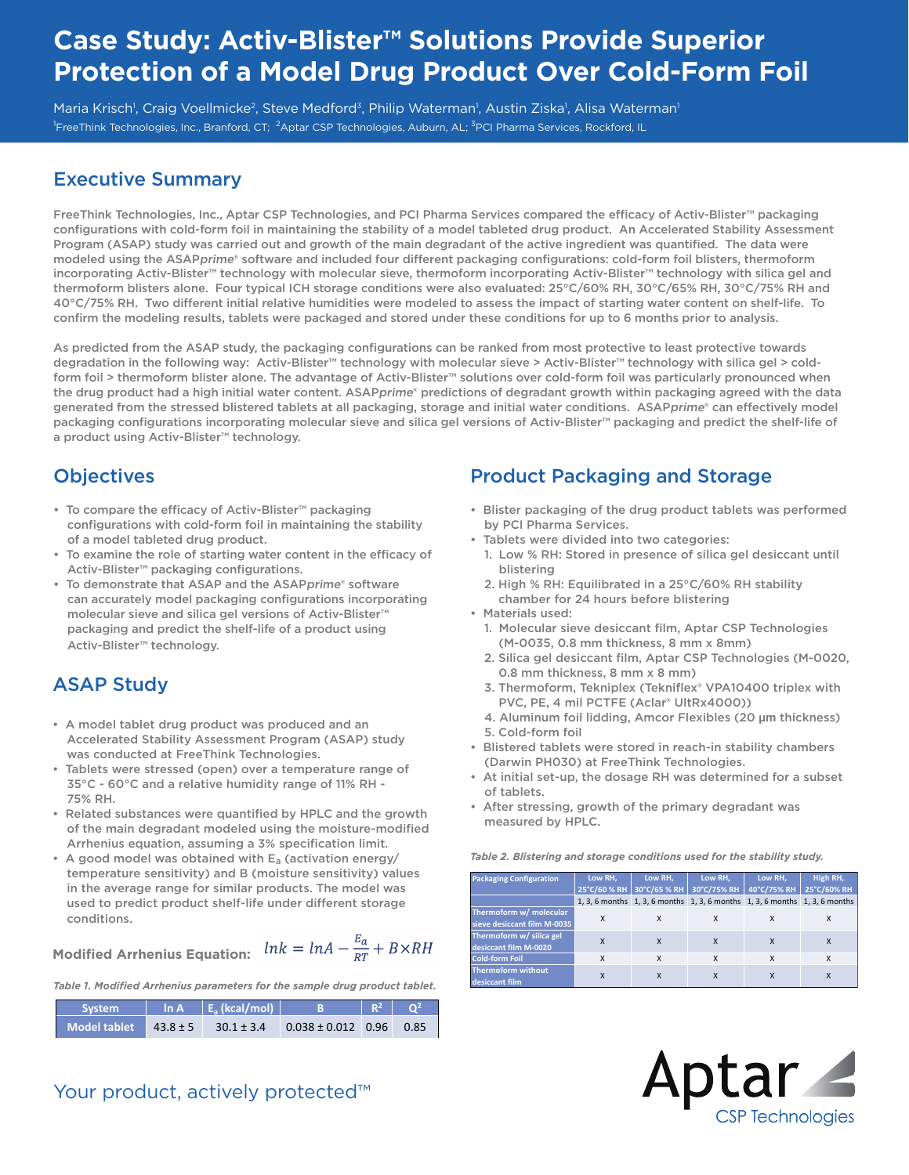# **Case Study: Activ-Blister™ Solutions Provide Superior Protection of a Model Drug Product Over Cold-Form Foil**

Maria Krisch<sup>1</sup>, Craig Voellmicke<sup>2</sup>, Steve Medford<sup>3</sup>, Philip Waterman<sup>1</sup>, Austin Ziska<sup>1</sup>, Alisa Waterman<sup>1</sup> <sup>1</sup>FreeThink Technologies, Inc., Branford, CT; <sup>2</sup>Aptar CSP Technologies, Auburn, AL; <sup>3</sup>PCI Pharma Services, Rockford, IL

#### Executive Summary

FreeThink Technologies, Inc., Aptar CSP Technologies, and PCI Pharma Services compared the efficacy of Activ-Blister™ packaging configurations with cold-form foil in maintaining the stability of a model tableted drug product. An Accelerated Stability Assessment Program (ASAP) study was carried out and growth of the main degradant of the active ingredient was quantified. The data were modeled using the ASAPprime® software and included four different packaging configurations: cold-form foil blisters, thermoform incorporating Activ-Blister™ technology with molecular sieve, thermoform incorporating Activ-Blister™ technology with silica gel and thermoform blisters alone. Four typical ICH storage conditions were also evaluated: 25°C/60% RH, 30°C/65% RH, 30°C/75% RH and 40°C/75% RH. Two different initial relative humidities were modeled to assess the impact of starting water content on shelf-life. To confirm the modeling results, tablets were packaged and stored under these conditions for up to 6 months prior to analysis.

As predicted from the ASAP study, the packaging configurations can be ranked from most protective to least protective towards degradation in the following way: Activ-Blister™ technology with molecular sieve > Activ-Blister™ technology with silica gel > coldform foil > thermoform blister alone. The advantage of Activ-Blister™ solutions over cold-form foil was particularly pronounced when the drug product had a high initial water content. ASAPprime® predictions of degradant growth within packaging agreed with the data generated from the stressed blistered tablets at all packaging, storage and initial water conditions. ASAPprime® can effectively model packaging configurations incorporating molecular sieve and silica gel versions of Activ-Blister™ packaging and predict the shelf-life of a product using Activ-Blister™ technology.

#### **Objectives**

- To compare the efficacy of Activ-Blister™ packaging configurations with cold-form foil in maintaining the stability of a model tableted drug product.
- To examine the role of starting water content in the efficacy of Activ-Blister™ packaging configurations.
- To demonstrate that ASAP and the ASAPprime® software can accurately model packaging configurations incorporating molecular sieve and silica gel versions of Activ-Blister™ packaging and predict the shelf-life of a product using Activ-Blister™ technology.

### ASAP Study

- A model tablet drug product was produced and an Accelerated Stability Assessment Program (ASAP) study was conducted at FreeThink Technologies.
- Tablets were stressed (open) over a temperature range of 35°C - 60°C and a relative humidity range of 11% RH - 75% RH.
- Related substances were quantified by HPLC and the growth of the main degradant modeled using the moisture-modified Arrhenius equation, assuming a 3% specification limit.
- A good model was obtained with Ea (activation energy/ temperature sensitivity) and B (moisture sensitivity) values in the average range for similar products. The model was used to predict product shelf-life under different storage conditions.

**Modified Arrhenius Equation:** 

$$
k = \ln A - \frac{E_a}{RT} + B \times RH
$$

*Table 1. Modified Arrhenius parameters for the sample drug product tablet.*

| System       |              | $\ln A$ $E_s$ (kcal/mol) |                        | $R^2$ | $\sqrt{0^2}$ |
|--------------|--------------|--------------------------|------------------------|-------|--------------|
| Model tablet | $43.8 \pm 5$ | $30.1 \pm 3.4$           | $0.038 \pm 0.012$ 0.96 |       | 0.85         |

### Product Packaging and Storage

- Blister packaging of the drug product tablets was performed by PCI Pharma Services.
- Tablets were divided into two categories:
- 1. Low % RH: Stored in presence of silica gel desiccant until blistering
- 2. High % RH: Equilibrated in a 25°C/60% RH stability chamber for 24 hours before blistering
- Materials used:
	- 1. Molecular sieve desiccant film, Aptar CSP Technologies (M-0035, 0.8 mm thickness, 8 mm x 8mm)
	- 2. Silica gel desiccant film, Aptar CSP Technologies (M-0020, 0.8 mm thickness, 8 mm x 8 mm)
	- 3. Thermoform, Tekniplex (Tekniflex® VPA10400 triplex with PVC, PE, 4 mil PCTFE (Aclar® UltRx4000))
	- 4. Aluminum foil lidding, Amcor Flexibles (20 **µm** thickness) 5. Cold-form foil
- Blistered tablets were stored in reach-in stability chambers (Darwin PH030) at FreeThink Technologies.
- At initial set-up, the dosage RH was determined for a subset of tablets.
- After stressing, growth of the primary degradant was measured by HPLC.

*Table 2. Blistering and storage conditions used for the stability study.* 

| <b>Packaging Configuration</b> | Low RH, | Low RH,                                                                    | Low RH. | Low RH. | High RH,     |
|--------------------------------|---------|----------------------------------------------------------------------------|---------|---------|--------------|
|                                |         | 25°C/60 % RH 30°C/65 % RH 30°C/75% RH 40°C/75% RH                          |         |         | 25°C/60% RH  |
|                                |         | 1, 3, 6 months 1, 3, 6 months 1, 3, 6 months 1, 3, 6 months 1, 3, 6 months |         |         |              |
| Thermoform w/ molecular        | X       | X                                                                          | x       |         | X            |
| sieve desiccant film M-0035    |         |                                                                            |         |         |              |
| Thermoform w/ silica gel       | X       | X                                                                          |         | X       | $\mathsf{x}$ |
| desiccant film M-0020          |         |                                                                            |         |         |              |
| <b>Cold-form Foil</b>          | X       | X                                                                          | X       | X       | X            |
| <b>Thermoform without</b>      |         | X                                                                          |         |         | X            |
| desiccant film                 |         |                                                                            |         | X       |              |



Your product, actively protected<sup>™</sup>